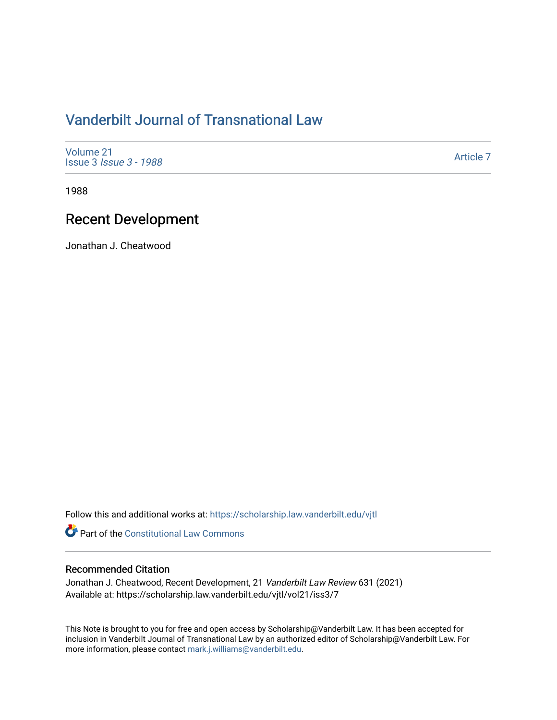# [Vanderbilt Journal of Transnational Law](https://scholarship.law.vanderbilt.edu/vjtl)

[Volume 21](https://scholarship.law.vanderbilt.edu/vjtl/vol21) Issue 3 [Issue 3 - 1988](https://scholarship.law.vanderbilt.edu/vjtl/vol21/iss3)

[Article 7](https://scholarship.law.vanderbilt.edu/vjtl/vol21/iss3/7) 

1988

# Recent Development

Jonathan J. Cheatwood

Follow this and additional works at: [https://scholarship.law.vanderbilt.edu/vjtl](https://scholarship.law.vanderbilt.edu/vjtl?utm_source=scholarship.law.vanderbilt.edu%2Fvjtl%2Fvol21%2Fiss3%2F7&utm_medium=PDF&utm_campaign=PDFCoverPages) 

**Part of the Constitutional Law Commons** 

## Recommended Citation

Jonathan J. Cheatwood, Recent Development, 21 Vanderbilt Law Review 631 (2021) Available at: https://scholarship.law.vanderbilt.edu/vjtl/vol21/iss3/7

This Note is brought to you for free and open access by Scholarship@Vanderbilt Law. It has been accepted for inclusion in Vanderbilt Journal of Transnational Law by an authorized editor of Scholarship@Vanderbilt Law. For more information, please contact [mark.j.williams@vanderbilt.edu](mailto:mark.j.williams@vanderbilt.edu).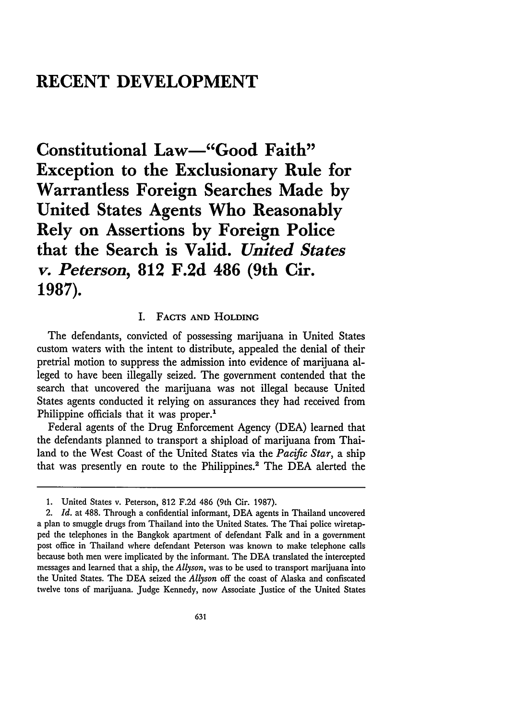## **RECENT DEVELOPMENT**

**Constitutional Law-"Good Faith" Exception to the Exclusionary Rule for Warrantless Foreign Searches Made by United States Agents Who Reasonably Rely on Assertions by Foreign Police that the Search is Valid.** *United States v. Peterson,* **812 F.2d 486 (9th Cir. 1987).**

### I. **FACTS AND HOLDING**

The defendants, convicted of possessing marijuana in United States custom waters with the intent to distribute, appealed the denial of their pretrial motion to suppress the admission into evidence of marijuana alleged to have been illegally seized. The government contended that the search that uncovered the marijuana was not illegal because United States agents conducted it relying on assurances they had received from Philippine officials that it was proper.<sup>1</sup>

Federal agents of the Drug Enforcement Agency (DEA) learned that the defendants planned to transport a shipload of marijuana from Thailand to the West Coast of the United States via the *Pacific Star,* a ship that was presently en route to the Philippines.<sup>2</sup> The DEA alerted the

<sup>1.</sup> United States v. Peterson, 812 F.2d 486 (9th Cir. 1987).

<sup>2.</sup> *Id.* at 488. Through a confidential informant, DEA agents in Thailand uncovered a plan to smuggle drugs from Thailand into the United States. The Thai police wiretapped the telephones in the Bangkok apartment of defendant Falk and in a government post office in Thailand where defendant Peterson was known to make telephone calls because both men were implicated by the informant. The DEA translated the intercepted messages and learned that a ship, the *Allyson,* was to be used to transport marijuana into the United States. The DEA seized the *Allyson* off the coast of Alaska and confiscated twelve tons of marijuana. Judge Kennedy, now Associate Justice of the United States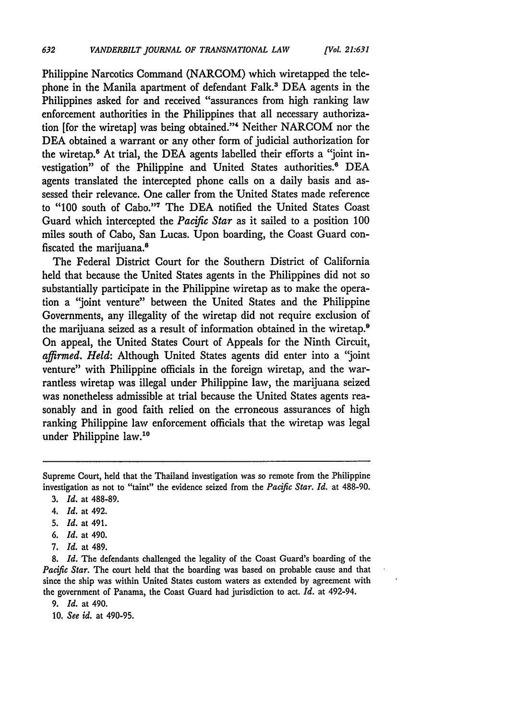Philippine Narcotics Command (NARCOM) which wiretapped the telephone in the Manila apartment of defendant Falk.<sup>3</sup> DEA agents in the Philippines asked for and received "assurances from high ranking law enforcement authorities in the Philippines that all necessary authorization [for the wiretap] was being obtained."' Neither NARCOM nor the DEA obtained a warrant or any other form of judicial authorization for the wiretap.<sup>5</sup> At trial, the DEA agents labelled their efforts a "joint investigation" of the Philippine and United States authorities.<sup>6</sup> DEA agents translated the intercepted phone calls on a daily basis and assessed their relevance. One caller from the United States made reference to "100 south of Cabo."'7 The DEA notified the United States Coast Guard which intercepted the *Pacific Star* as it sailed to a position 100 miles south of Cabo, San Lucas. Upon boarding, the Coast Guard confiscated the marijuana.8

The Federal District Court for the Southern District of California held that because the United States agents in the Philippines did not so substantially participate in the Philippine wiretap as to make the operation a "joint venture" between the United States and the Philippine Governments, any illegality of the wiretap did not require exclusion of the marijuana seized as a result of information obtained in the wiretap.<sup>9</sup> On appeal, the United States Court of Appeals for the Ninth Circuit, *affirmed. Held:* Although United States agents did enter into a "joint venture" with Philippine officials in the foreign wiretap, and the warrantless wiretap was illegal under Philippine law, the marijuana seized was nonetheless admissible at trial because the United States agents reasonably and in good faith relied on the erroneous assurances of high ranking Philippine law enforcement officials that the wiretap was legal under Philippine law.<sup>10</sup>

- 4. *Id.* at 492.
- 5. *Id.* at 491.
- 6. *Id.* at 490.
- 7. *Id.* at 489.

**8.** *Id.* The defendants challenged the legality of the Coast Guard's boarding of the *Pacific Star.* The court held that the boarding was based on probable cause and that since the ship was within United States custom waters as extended **by** agreement with the government of Panama, the Coast Guard had jurisdiction to act. *Id.* at 492-94.

**9.** *Id.* at 490.

**10.** *See id.* at 490-95.

Supreme Court, held that the Thailand investigation was so remote from the Philippine investigation as not to "taint" the evidence seized from the *Pacific Star. Id.* at 488-90.

<sup>3.</sup> *Id.* at 488-89.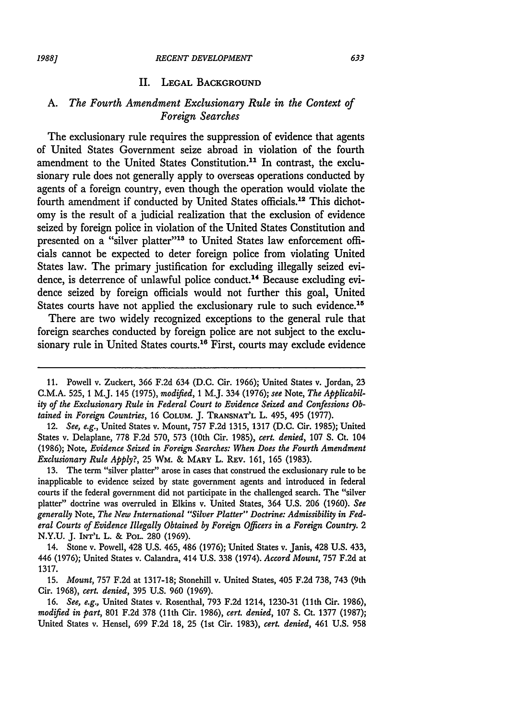#### II. **LEGAL BACKGROUND**

## *A. The Fourth Amendment Exclusionary Rule in the Context of Foreign Searches*

The exclusionary rule requires the suppression of evidence that agents of United States Government seize abroad in violation of the fourth amendment to the United States Constitution.<sup>11</sup> In contrast, the exclusionary rule does not generally apply to overseas operations conducted by agents of a foreign country, even though the operation would violate the fourth amendment if conducted by United States officials.12 This dichotomy is the result of a judicial realization that the exclusion of evidence seized by foreign police in violation of the United States Constitution and presented on a "silver platter"<sup>13</sup> to United States law enforcement officials cannot be expected to deter foreign police from violating United States law. The primary justification for excluding illegally seized evidence, is deterrence of unlawful police conduct.<sup>14</sup> Because excluding evidence seized by foreign officials would not further this goal, United States courts have not applied the exclusionary rule to such evidence.<sup>15</sup>

There are two widely recognized exceptions to the general rule that foreign searches conducted by foreign police are not subject to the exclusionary rule in United States courts.<sup>16</sup> First, courts may exclude evidence

12. *See, e.g.,* United States v. Mount, 757 F.2d 1315, 1317 (D.C. Cir. 1985); United States v. Delaplane, 778 F.2d 570, 573 (10th Cir. 1985), *cert. denied,* 107 S. Ct. 104 (1986); Note, *Evidence Seized in Foreign Searches: When Does the Fourth Amendment Exclusionary Rule Apply?,* 25 WM. & **MARY** L. REv. 161, 165 (1983).

13. The term "silver platter" arose in cases that construed the exclusionary rule to be inapplicable to evidence seized by state government agents and introduced in federal courts if the federal government did not participate in the challenged search. The "silver platter" doctrine was overruled in Elkins v. United States, 364 U.S. 206 (1960). *See generally* Note, *The New International "Silver Platter" Doctrine: Admissibility in Federal Courts of Evidence Illegally Obtained by Foreign Officers in a Foreign Country.* 2 N.Y.U. J. **INT'L** L. & POL. 280 (1969).

14. Stone v. Powell, 428 U.S. 465, 486 (1976); United States v. Janis, 428 U.S. 433, 446 (1976); United States v. Calandra, 414 U.S. 338 (1974). *Accord Mount,* 757 F.2d at 1317.

15. *Mount,* 757 F.2d at 1317-18; Stonehill v. United States, 405 F.2d 738, 743 (9th Cir. 1968), *cert. denied,* 395 U.S. 960 (1969).

16. *See, e.g.,* United States v. Rosenthal, 793 F.2d 1214, 1230-31 (11th Cir. 1986), *modified in part,* 801 F.2d 378 (11th Cir. 1986), *cert. denied,* 107 **S.** Ct. 1377 (1987); United States v. Hensel, 699 F.2d 18, 25 (1st Cir. 1983), *cert. denied,* 461 U.S. 958

<sup>11.</sup> Powell v. Zuckert, 366 F.2d 634 (D.C. Cir. 1966); United States v. Jordan, 23 C.M.A. 525, 1 M.J. 145 (1975), *modified,* 1 M.J. 334 (1976); see Note, *The Applicability of the Exclusionary Rule in Federal Court to Evidence Seized and Confessions Obtained in Foreign Countries,* 16 **COLUM.** J. **TRANSNAT'L** L. 495, 495 (1977).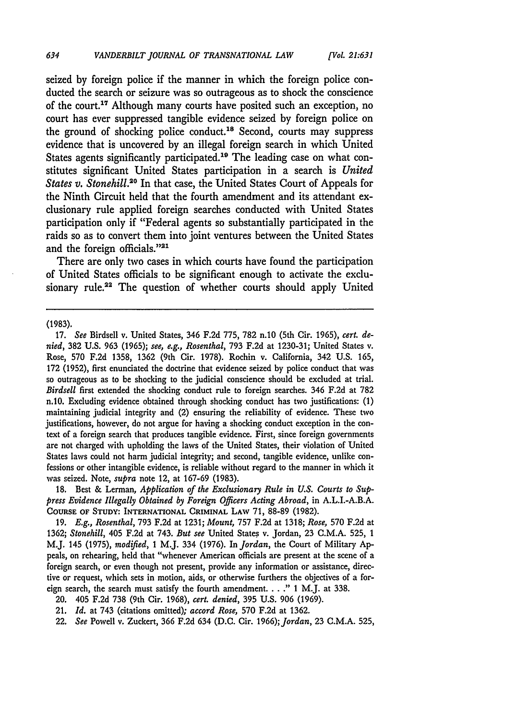seized by foreign police if the manner in which the foreign police conducted the search or seizure was so outrageous as to shock the conscience of the court.<sup>17</sup> Although many courts have posited such an exception, no court has ever suppressed tangible evidence seized by foreign police on the ground of shocking police conduct.<sup>18</sup> Second, courts may suppress evidence that is uncovered by an illegal foreign search in which United States agents significantly participated.19 The leading case on what constitutes significant United States participation in a search is *United States v. Stonehill.20* In that case, the United States Court of Appeals for the Ninth Circuit held that the fourth amendment and its attendant exclusionary rule applied foreign searches conducted with United States participation only if "Federal agents so substantially participated in the raids so as to convert them into joint ventures between the United States and the foreign officials."<sup>21</sup>

There are only two cases in which courts have found the participation of United States officials to be significant enough to activate the exclusionary rule.<sup>22</sup> The question of whether courts should apply United

**(1983).**

**17.** *See* Birdsell v. United States, 346 **F.2d** 775, **782** n.10 (5th Cir. **1965),** *cert. denied,* **382 U.S. 963 (1965);** *see, e.g., Rosenthal,* **793 F.2d** at **1230-31;** United States v. Rose, **570 F.2d 1358, 1362** (9th Cir. **1978).** Rochin v. California, 342 **U.S.** 165, **172 (1952),** first enunciated the doctrine that evidence seized **by** police conduct that was **so** outrageous as to be shocking to the judicial conscience should be excluded at trial. *Birdsell* first extended the shocking conduct rule to foreign searches. 346 **F.2d** at **782** n.10. Excluding evidence obtained through shocking conduct has two justifications: **(1)** maintaining judicial integrity and (2) ensuring the reliability of evidence. These two justifications, however, do not argue for having a shocking conduct exception in the context of a foreign search that produces tangible evidence. First, since foreign governments are not charged with upholding the laws of the United States, their violation of United States laws could not harm judicial integrity; and second, tangible evidence, unlike confessions or other intangible evidence, is reliable without regard to the manner in which it was seized. Note, *supra* note 12, at 167-69 (1983).

18. Best & Lerman, *Application of the Exclusionary Rule in U.S. Courts to Suppress Evidence Illegally Obtained by Foreign Officers Acting Abroad,* in A.L.I.-A.B.A. **COURSE** OF **STUDY: INTERNATIONAL CRIMINAL LAw** 71, 88-89 (1982).

**19.** *E.g., Rosenthal,* **793 F.2d** at **1231;** *Mount,* **757 F.2d** at **1318;** *Rose,* **570 F.2d** at **1362;** *Stonehill,* 405 **F.2d** at 743. *But see* United States v. Jordan, **23 C.M.A. 525, 1** M.J. 145 **(1975),** *modified, I* M.J. 334 **(1976).** In *Jordan,* the Court of Military **Ap**peals, on rehearing, held that "whenever American officials are present at the scene of a foreign search, or even though not present, provide any information or assistance, directive or request, which sets in motion, aids, or otherwise furthers the objectives of a foreign search, the search must satisfy the fourth amendment ...... **1** M.J. at **338.**

21. *Id.* at 743 (citations omitted); *accord Rose,* **570 F.2d** at **1362.**

<sup>20. 405</sup> **F.2d 738** (9th Cir. **1968),** *cert. denied,* 395 **U.S.** 906 **(1969).**

**<sup>22.</sup>** *See* Powell v. Zuckert, 366 **F.2d** 634 **(D.C.** Cir. *1966);Jordan,* **23 C.M.A. 525,**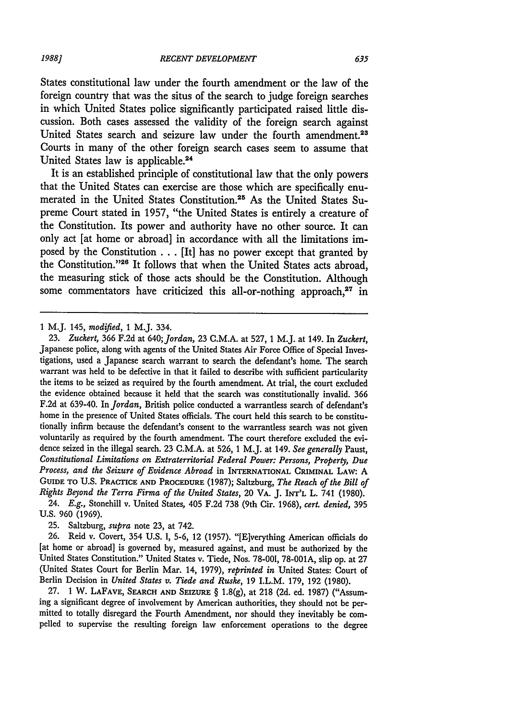States constitutional law under the fourth amendment or the law of the foreign country that was the situs of the search to judge foreign searches in which United States police significantly participated raised little discussion. Both cases assessed the validity of the foreign search against United States search and seizure law under the fourth amendment.<sup>23</sup> Courts in many of the other foreign search cases seem to assume that United States law is applicable.24

It is an established principle of constitutional law that the only powers that the United States can exercise are those which are specifically enumerated in the United States Constitution.<sup>25</sup> As the United States Supreme Court stated in **1957,** "the United States is entirely a creature of the Constitution. Its power and authority have no other source. It can only act [at home or abroad] in accordance with all the limitations imposed **by** the Constitution **...** [It] has no power except that granted **by** the Constitution."<sup>26</sup> It follows that when the United States acts abroad, the measuring stick of those acts should be the Constitution. Although some commentators have criticized this all-or-nothing approach, $27$  in

**1** M.J. 145, *modified,* **1** M.J. 334.

**23.** *Zuckert,* **366 F.2d** at *640;Jordan,* **23 C.M.A.** at **527, 1** M.J. at 149. In *Zuckert,* Japanese police, along with agents of the United States Air Force Office of Special Investigations, used a Japanese search warrant to search the defendant's home. The search warrant was held to be defective in that **it** failed to describe with sufficient particularity the items to be seized as required **by** the fourth amendment. At trial, the court excluded the evidence obtained because it held that the search was constitutionally invalid. **366 F.2d** at 639-40. In *Jordan,* British police conducted a warrantless search of defendant's home in the presence of United States officials. The court held this search to be constitutionally infirm because the defendant's consent to the warrantless search was not given voluntarily as required **by** the fourth amendment. The court therefore excluded the evidence seized in the illegal search. **23 C.M.A.** at **526, 1** M.J. at 149. *See generally* Paust, *Constitutional Limitations on Extraterritorial Federal Power: Persons, Property, Due Process, and the Seizure of Evidence Abroad* in **INTERNATIONAL CRIMINAL LAw: A GUIDE TO U.S. PRACTICE AND PROCEDURE (1987);** Saltzburg, *The Reach of the Bill of Rights Beyond the Terra Firma of the United States,* 20 **VA. J. INT'L** L. 741 **(1980).**

24. *E.g.,* Stonehill v. United States, 405 **F.2d 738** (9th Cir. **1968),** *cert. denied,* **395 U.S. 960 (1969).**

**25.** Saltzburg, *supra* note **23,** at 742.

**26.** Reid v. Covert, 354 **U.S. 1, 5-6,** 12 **(1957).** "[E]verything American officials do [at home or abroad] is governed **by,** measured against, and must be authorized **by** the United States Constitution." United States v. Tiede, Nos. 78-001, **78-001A,** slip op. at **27** (United States Court for Berlin Mar. 14, **1979),** *reprinted in* United States: Court of Berlin Decision in *United States v. Tiede and Ruske,* **19** I.L.M. **179, 192 (1980).**

**27. 1** W. **LAFAVE, SEARCH AND SEIZURE § 1.8(g),** at **218 (2d.** ed. **1987)** ("Assuming a significant degree of involvement **by** American authorities, they should not be permitted to totally disregard the Fourth Amendment, nor should they inevitably be compelled to supervise the resulting foreign law enforcement operations to the degree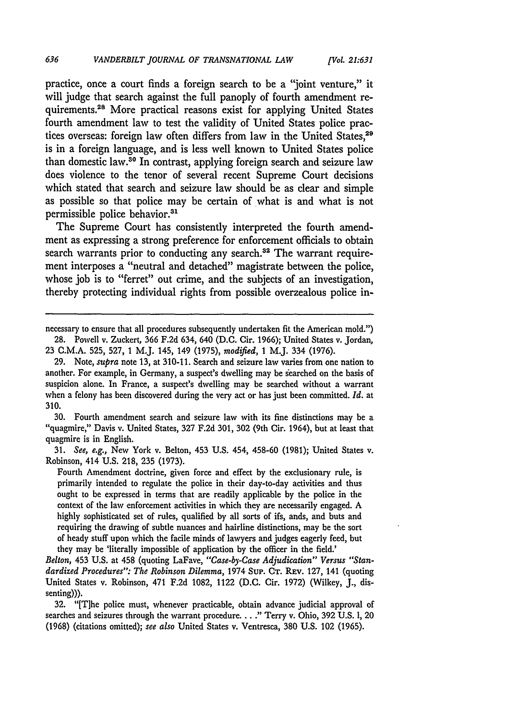practice, once a court finds a foreign search to be a "joint venture," it will judge that search against the full panoply of fourth amendment requirements.28 More practical reasons exist for applying United States fourth amendment law to test the validity of United States police practices overseas: foreign law often differs from law in the United States,<sup>29</sup> is in a foreign language, and is less well known to United States police than domestic law.30 In contrast, applying foreign search and seizure law does violence to the tenor of several recent Supreme Court decisions which stated that search and seizure law should be as clear and simple as possible so that police may be certain of what is and what is not permissible police behavior.<sup>31</sup>

The Supreme Court has consistently interpreted the fourth amendment as expressing a strong preference for enforcement officials to obtain search warrants prior to conducting any search.<sup>32</sup> The warrant requirement interposes a "neutral and detached" magistrate between the police, whose **job** is to "ferret" out crime, and the subjects of an investigation, thereby protecting individual rights from possible overzealous police in-

**30.** Fourth amendment search and seizure law with its fine distinctions may be a "quagmire," Davis v. United States, **327** F.2d **301, 302** (9th Cir. 1964), but at least that quagmire is in English.

**31.** *See, e.g.,* New York v. Belton, 453 U.S. 454, 458-60 (1981); United States v. Robinson, 414 U.S. 218, **235 (1973).**

Fourth Amendment doctrine, given force and effect **by** the exclusionary rule, is primarily intended to regulate the police in their day-to-day activities and thus ought to be expressed in terms that are readily applicable by the police in the context of the law enforcement activities in which they are necessarily engaged. A highly sophisticated set of rules, qualified **by** all sorts of ifs, ands, and buts and requiring the drawing of subtle nuances and hairline distinctions, may be the sort of heady stuff upon which the facile minds of lawyers and judges eagerly feed, but they may be 'literally impossible of application **by** the officer in the field.'

*Belton,* 453 U.S. at 458 (quoting LaFave, *"Case-by-Case Adjudication" Versus "Standardized Procedures": The Robinson Dilemma,* 1974 Sup. **CT.** REV. **127,** 141 (quoting United States v. Robinson, 471 F.2d 1082, 1122 (D.C. Cir. 1972) (Wilkey, J., dissenting))).

32. "[T]he police must, whenever practicable, obtain advance judicial approval of searches and seizures through the warrant procedure. . . **."** Terry v. Ohio, 392 U.S. 1, 20 (1968) (citations omitted); *see also* United States v. Ventresca, 380 U.S. 102 (1965).

necessary to ensure that all procedures subsequently undertaken fit the American mold.") **28.** Powell v. Zuckert, **366 F.2d** 634, 640 **(D.C.** Cir. **1966);** United States v. Jordan,

**<sup>23</sup>** C.M.A. **525, 527,** 1 M.J. 145, 149 **(1975),** *modified,* **1** M.J. 334 (1976).

**<sup>29.</sup>** Note, *supra* note **13,** at **310-11.** Search and seizure law varies from one nation to another. For example, in Germany, a suspect's dwelling may be searched on the basis of suspicion alone. In France, a suspect's dwelling may be searched without a warrant when a felony has been discovered during the very act or has just been committed. *Id.* at **310.**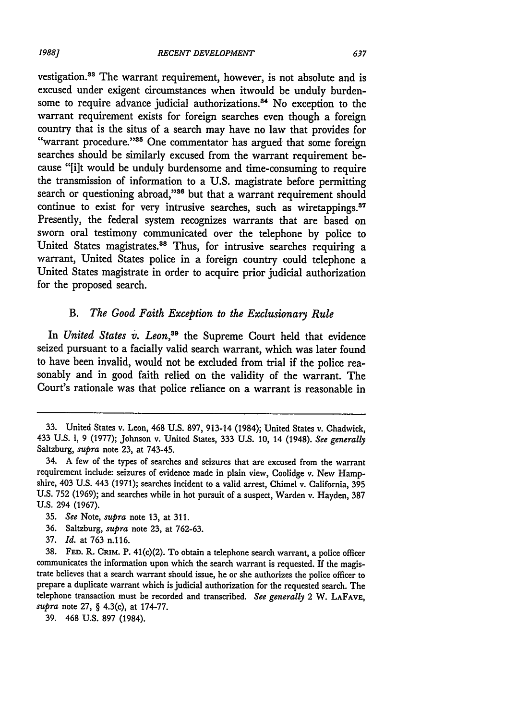vestigation.33 The warrant requirement, however, is not absolute and is excused under exigent circumstances when itwould be unduly burdensome to require advance judicial authorizations.<sup>34</sup> No exception to the warrant requirement exists for foreign searches even though a foreign country that is the situs of a search may have no law that provides for "warrant procedure."<sup>35</sup> One commentator has argued that some foreign searches should be similarly excused from the warrant requirement because "[i]t would be unduly burdensome and time-consuming to require the transmission of information to a U.S. magistrate before permitting search or questioning abroad,"<sup>36</sup> but that a warrant requirement should continue to exist for very intrusive searches, such as wiretappings.<sup>37</sup> Presently, the federal system recognizes warrants that are based on sworn oral testimony communicated over the telephone by police to United States magistrates.<sup>38</sup> Thus, for intrusive searches requiring a warrant, United States police in a foreign country could telephone a United States magistrate in order to acquire prior judicial authorization for the proposed search.

## *B. The Good Faith Exception to the Exclusionary Rule*

In *United States v. Leon,39* the Supreme Court held that evidence seized pursuant to a facially valid search warrant, which was later found to have been invalid, would not be excluded from trial if the police reasonably and in good faith relied on the validity of the warrant. The Court's rationale was that police reliance on a warrant is reasonable in

- 36. Saltzburg, *supra* note 23, at 762-63.
- 37. *Id.* at 763 n.116.

<sup>33.</sup> United States v. Leon, 468 U.S. 897, 913-14 (1984); United States v. Chadwick, 433 U.S. 1, 9 (1977); Johnson v. United States, 333 U.S. 10, 14 (1948). *See generally* Saltzburg, *supra* note 23, at 743-45.

<sup>34.</sup> **A** few of the types of searches and seizures that are excused from the warrant requirement include: seizures of evidence made in plain view, Coolidge v. New Hampshire, 403 U.S. 443 (1971); searches incident to a valid arrest, Chimel v. California, **395** U.S. **752** (1969); and searches while in hot pursuit of a suspect, Warden v. Hayden, 387 U.S. 294 (1967).

**<sup>35.</sup>** *See* Note, *supra* note 13, at 311.

<sup>38.</sup> **FED.** R. **CRIM.** P. 41(c)(2). To obtain a telephone search warrant, a police officer communicates the information upon which the search warrant is requested. If the magistrate believes that a search warrant should issue, he or she authorizes the police officer to prepare a duplicate warrant which is judicial authorization for the requested search. The telephone transaction must be recorded and transcribed. *See generally* 2 W. **LAFAVE,** *supra* note 27, § 4.3(c), at 174-77.

<sup>39. 468</sup> U.S. 897 (1984).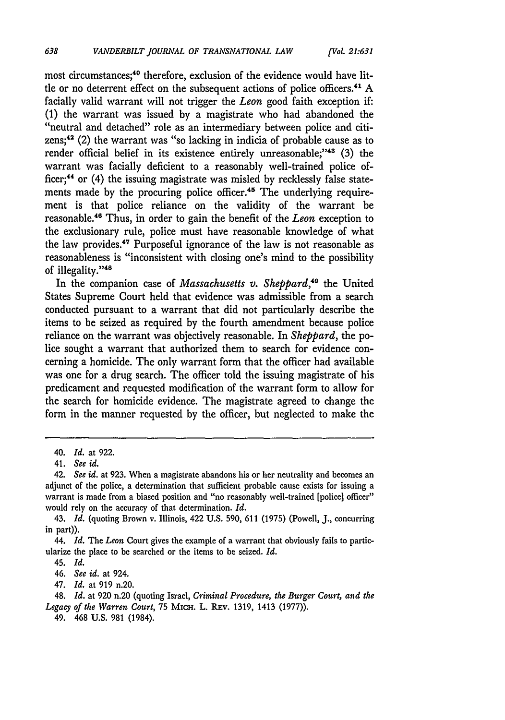most circumstances;<sup>40</sup> therefore, exclusion of the evidence would have little or no deterrent effect on the subsequent actions of police officers.4" **A** facially valid warrant will not trigger the *Leon* good faith exception **if:** (1) the warrant was issued **by** a magistrate who had abandoned the "neutral and detached" role as an intermediary between police and citizens;42 (2) the warrant was "so lacking in indicia of probable cause as to render official belief in its existence entirely unreasonable;"<sup>43</sup> (3) the warrant was facially deficient to a reasonably well-trained police officer;4' or (4) the issuing magistrate was misled **by** recklessly false statements made by the procuring police officer.<sup>45</sup> The underlying requirement is that police reliance on the validity of the warrant be reasonable.<sup>46</sup> Thus, in order to gain the benefit of the *Leon* exception to the exclusionary rule, police must have reasonable knowledge of what the law provides.'7 Purposeful ignorance of the law is not reasonable as reasonableness is "inconsistent with closing one's mind to the possibility of illegality."<sup>48</sup>

In the companion case of *Massachusetts v. Sheppard,49* the United States Supreme Court held that evidence was admissible from a search conducted pursuant to a warrant that did not particularly describe the items to be seized as required **by** the fourth amendment because police reliance on the warrant was objectively reasonable. In *Sheppard,* the police sought a warrant that authorized them to search for evidence concerning a homicide. The only warrant form that the officer had available was one for a drug search. The officer told the issuing magistrate of his predicament and requested modification of the warrant form to allow for the search for homicide evidence. The magistrate agreed to change the form in the manner requested **by** the officer, but neglected to make the

47. *Id.* at 919 n.20.

<sup>40.</sup> *Id.* at **922.**

*<sup>41.</sup> See id.*

<sup>42.</sup> *See id.* at 923. When a magistrate abandons his or her neutrality and becomes an adjunct of the police, a determination that sufficient probable cause exists for issuing a warrant is made from a biased position and "no reasonably well-trained [police] officer" would rely on the accuracy of that determination. *Id.*

<sup>43.</sup> *Id.* (quoting Brown v. Illinois, 422 U.S. 590, 611 (1975) (Powell, J., concurring in part)).

<sup>44.</sup> *Id.* The *Leon* Court gives the example of a warrant that obviously fails to particularize the place to be searched or the items to be seized. *Id.*

<sup>45.</sup> *Id.*

<sup>46.</sup> *See id.* at 924.

<sup>48.</sup> *Id.* at 920 n.20 (quoting Israel, *Criminal Procedure, the Burger Court, and the Legacy of the Warren Court,* 75 MICH. L. REv. 1319, 1413 (1977)).

<sup>49. 468</sup> U.S. **981** (1984).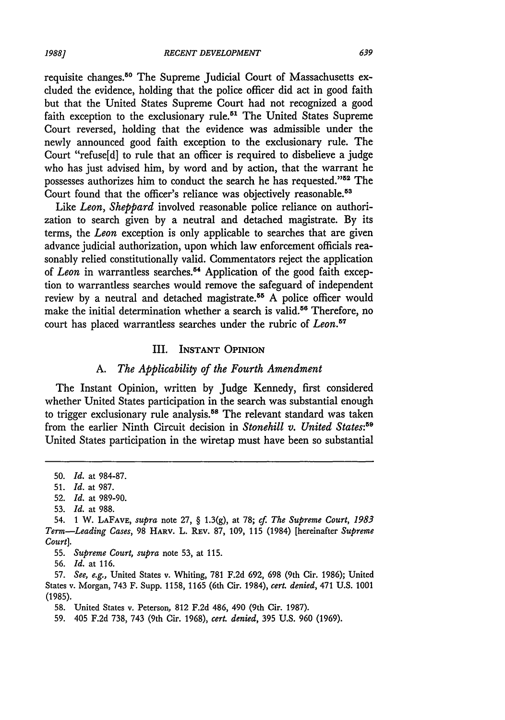requisite changes.50 The Supreme Judicial Court of Massachusetts excluded the evidence, holding that the police officer did act in good faith but that the United States Supreme Court had not recognized a good faith exception to the exclusionary rule.<sup>51</sup> The United States Supreme Court reversed, holding that the evidence was admissible under the newly announced good faith exception to the exclusionary rule. The Court "refuse[d] to rule that an officer is required to disbelieve a judge who has just advised him, by word and by action, that the warrant he possesses authorizes him to conduct the search he has requested."52 The Court found that the officer's reliance was objectively reasonable.<sup>53</sup>

Like *Leon, Sheppard* involved reasonable police reliance on authorization to search given by a neutral and detached magistrate. By its terms, the *Leon* exception is only applicable to searches that are given advance judicial authorization, upon which law enforcement officials reasonably relied constitutionally valid. Commentators reject the application of *Leon* in warrantless searches.<sup>54</sup> Application of the good faith exception to warrantless searches would remove the safeguard of independent review by a neutral and detached magistrate.<sup>55</sup> A police officer would make the initial determination whether a search is valid.<sup>56</sup> Therefore, no court has placed warrantless searches under the rubric of *Leon.5 "*

### III. **INSTANT** OPINION

#### *A. The Applicability of the Fourth Amendment*

The Instant Opinion, written by Judge Kennedy, first considered whether United States participation in the search was substantial enough to trigger exclusionary rule analysis.<sup>58</sup> The relevant standard was taken from the earlier Ninth Circuit decision in *Stonehill v. United States:5 "* United States participation in the wiretap must have been so substantial

<sup>50.</sup> *Id.* at 984-87.

<sup>51.</sup> *Id.* at 987.

<sup>52.</sup> *Id.* at 989-90.

<sup>53.</sup> *Id.* at 988.

<sup>54. 1</sup> W. **LAFAVE,** *supra* note 27, § 1.3(g), at 78; *cf. The Supreme Court, 1983 Term-Leading Cases,* 98 HARV. L. REv. 87, 109, 115 (1984) [hereinafter *Supreme Court].*

<sup>55.</sup> *Supreme Court, supra* note 53, at 115.

<sup>56.</sup> *Id.* at 116.

<sup>57.</sup> *See, e.g.,* United States v. Whiting, 781 F.2d 692, 698 (9th Cir. 1986); United States v. Morgan, 743 F. Supp. 1158, 1165 (6th Cir. 1984), *cert. denied,* 471 U.S. 1001 (1985).

<sup>58.</sup> United States v. Peterson, **812** F.2d 486, 490 (9th Cir. 1987).

<sup>59. 405</sup> F.2d 738, 743 (9th Cir. 1968), *cert. denied,* 395 U.S. 960 (1969).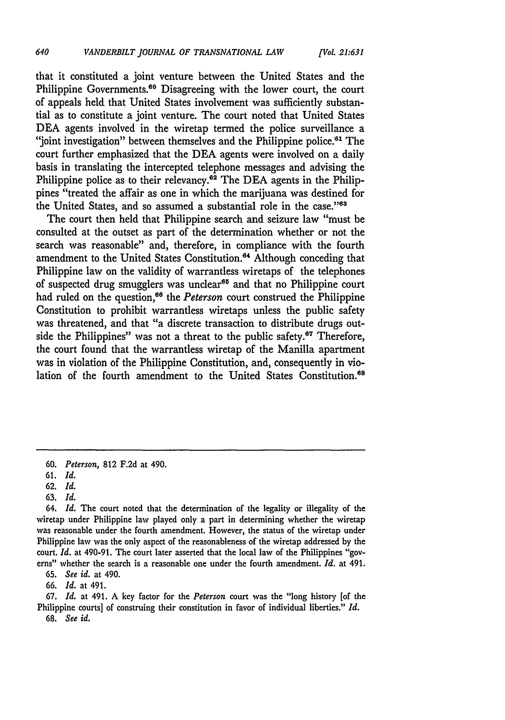that it constituted a joint venture between the United States and the Philippine Governments.<sup>60</sup> Disagreeing with the lower court, the court of appeals held that United States involvement was sufficiently substantial as to constitute a joint venture. The court noted that United States DEA agents involved in the wiretap termed the police surveillance a "joint investigation" between themselves and the Philippine police.<sup>61</sup> The court further emphasized that the **DEA** agents were involved on a daily basis in translating the intercepted telephone messages and advising the Philippine police as to their relevancy.62 The **DEA** agents in the Philippines "treated the affair as one in which the marijuana was destined for the United States, and so assumed a substantial role in the case."<sup>83</sup>

The court then held that Philippine search and seizure law "must be consulted at the outset as part of the determination whether or not the search was reasonable" and, therefore, in compliance with the fourth amendment to the United States Constitution.<sup>64</sup> Although conceding that Philippine law on the validity of warrantless wiretaps of the telephones of suspected drug smugglers was unclear<sup>65</sup> and that no Philippine court had ruled on the question,<sup>66</sup> the *Peterson* court construed the Philippine Constitution to prohibit warrantless wiretaps unless the public safety was threatened, and that "a discrete transaction to distribute drugs outside the Philippines" was not a threat to the public safety.<sup>67</sup> Therefore, the court found that the warrantless wiretap of the Manilla apartment was in violation of the Philippine Constitution, and, consequently in violation of the fourth amendment to the United States Constitution.<sup>68</sup>

**63.** *Id.*

*65. See id.* at 490.

66. *Id.* at 491.

*67. Id.* at 491. A key factor for the *Peterson* court was the "long history [of the Philippine courts] of construing their constitution in favor of individual liberties." *Id.* **68.** *See id.*

**<sup>60.</sup>** *Peterson,* 812 F.2d at 490.

**<sup>61.</sup>** *Id.*

**<sup>62.</sup>** *Id.*

<sup>64.</sup> *Id.* The court noted that the determination of the legality or illegality of the wiretap under Philippine law played only a part in determining whether the wiretap was reasonable under the fourth amendment. However, the status of the wiretap under Philippine law was the only aspect of the reasonableness of the wiretap addressed by the court. *Id.* at 490-91. The court later asserted that the local law of **the** Philippines "governs" whether the search is a reasonable one under the fourth amendment. *Id.* at 491.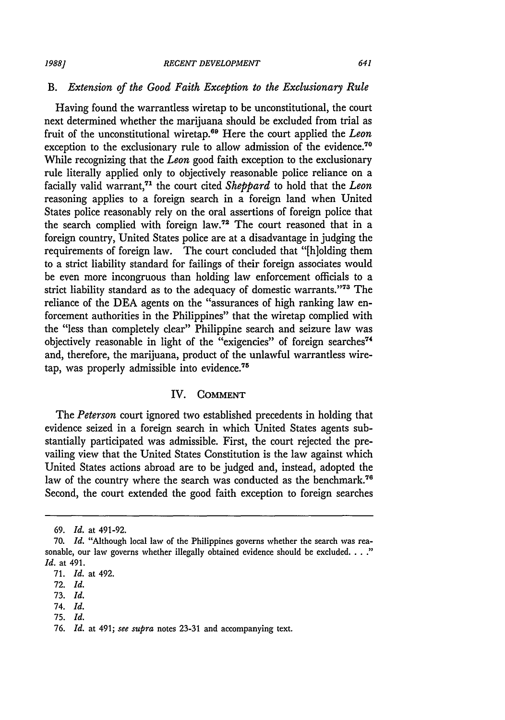*1988]*

### *B. Extension of the Good Faith Exception to the Exclusionary Rule*

Having found the warrantless wiretap to be unconstitutional, the court next determined whether the marijuana should be excluded from trial as fruit of the unconstitutional wiretap. 9 Here the court applied the *Leon* exception to the exclusionary rule to allow admission of the evidence.<sup>70</sup> While recognizing that the *Leon* good faith exception to the exclusionary rule literally applied only to objectively reasonable police reliance on a facially valid warrant.<sup>71</sup> the court cited *Sheppard* to hold that the *Leon* reasoning applies to a foreign search in a foreign land when United States police reasonably rely on the oral assertions of foreign police that the search complied with foreign law.72 The court reasoned that in a foreign country, United States police are at a disadvantage in judging the requirements of foreign law. The court concluded that "[hiolding them to a strict liability standard for failings of their foreign associates would be even more incongruous than holding law enforcement officials to a strict liability standard as to the adequacy of domestic warrants.""3 The reliance of the DEA agents on the "assurances of high ranking law enforcement authorities in the Philippines" that the wiretap complied with the "less than completely clear" Philippine search and seizure law was objectively reasonable in light of the "exigencies" of foreign searches<sup>74</sup> and, therefore, the marijuana, product of the unlawful warrantless wiretap, was properly admissible into evidence.<sup>75</sup>

### IV. **COMMENT**

The *Peterson* court ignored two established precedents in holding that evidence seized in a foreign search in which United States agents substantially participated was admissible. First, the court rejected the prevailing view that the United States Constitution is the law against which United States actions abroad are to be judged and, instead, adopted the law of the country where the search was conducted as the benchmark.<sup>76</sup> Second, the court extended the good faith exception to foreign searches

74. *Id.*

<sup>69.</sup> *Id.* at 491-92.

<sup>70.</sup> *Id.* "Although local law of the Philippines governs whether the search was reasonable, our law governs whether illegally obtained evidence should be excluded. . **.** *Id.* at 491.

<sup>71.</sup> *Id.* at 492.

<sup>72.</sup> *Id.*

<sup>73.</sup> *Id.*

<sup>75.</sup> *Id.*

<sup>76.</sup> *Id.* at 491; see supra notes 23-31 and accompanying text.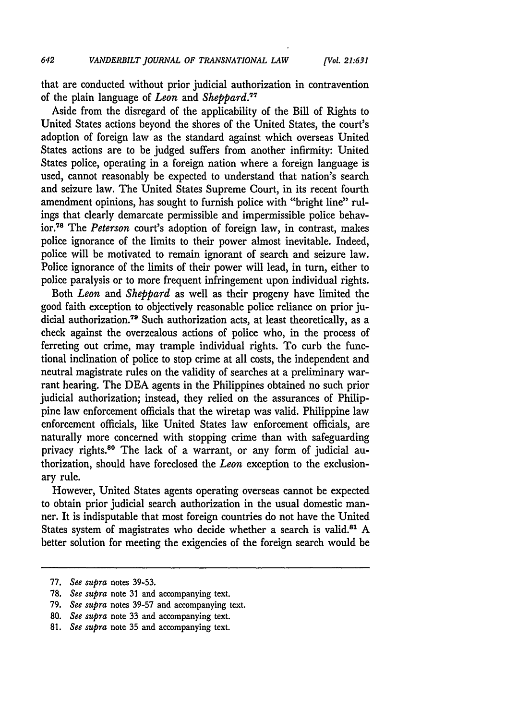that are conducted without prior judicial authorization in contravention of the plain language of *Leon* and *Sheppard."*

Aside from the disregard of the applicability of the Bill of Rights to United States actions beyond the shores of the United States, the court's adoption of foreign law as the standard against which overseas United States actions are to be judged suffers from another infirmity: United States police, operating in a foreign nation where a foreign language is used, cannot reasonably be expected to understand that nation's search and seizure law. The United States Supreme Court, in its recent fourth amendment opinions, has sought to furnish police with "bright line" rulings that clearly demarcate permissible and impermissible police behavior **. <sup>7</sup>**The *Peterson* court's adoption of foreign law, in contrast, makes police ignorance of the limits to their power almost inevitable. Indeed, police will be motivated to remain ignorant of search and seizure law. Police ignorance of the limits of their power will lead, in turn, either to police paralysis or to more frequent infringement upon individual rights.

Both *Leon* and *Sheppard* as well as their progeny have limited the good faith exception to objectively reasonable police reliance on prior judicial authorization.<sup>79</sup> Such authorization acts, at least theoretically, as a check against the overzealous actions of police who, in the process of ferreting out crime, may trample individual rights. To curb the functional inclination of police to stop crime at all costs, the independent and neutral magistrate rules on the validity of searches at a preliminary warrant hearing. The **DEA** agents in the Philippines obtained no such prior judicial authorization; instead, they relied on the assurances of Philippine law enforcement officials that the wiretap was valid. Philippine law enforcement officials, like United States law enforcement officials, are naturally more concerned with stopping crime than with safeguarding privacy rights.<sup>80</sup> The lack of a warrant, or any form of judicial authorization, should have foreclosed the *Leon* exception to the exclusionary rule.

However, United States agents operating overseas cannot be expected to obtain prior judicial search authorization in the usual domestic manner. It is indisputable that most foreign countries do not have the United States system of magistrates who decide whether a search is valid.<sup>81</sup> A better solution for meeting the exigencies of the foreign search would be

<sup>77.</sup> *See supra* notes 39-53.

<sup>78.</sup> *See supra* note **31** and accompanying text.

*<sup>79.</sup> See supra* notes 39-57 and accompanying text.

<sup>80.</sup> *See* supra note 33 and accompanying text.

**<sup>81.</sup>** *See supra* note **35** and accompanying text.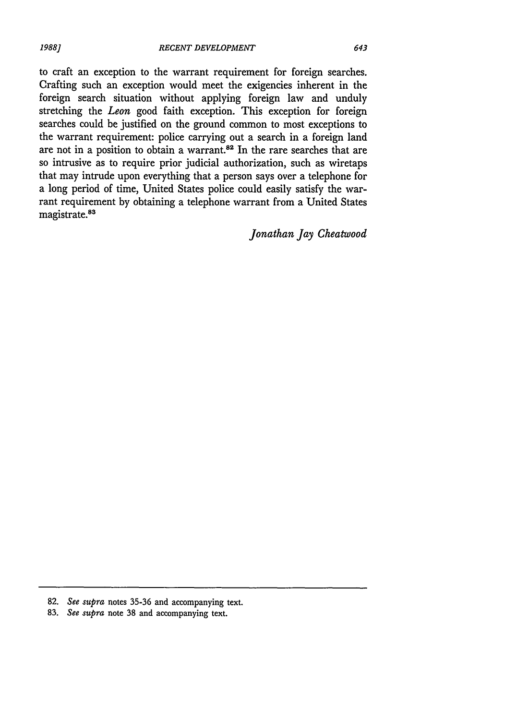to craft an exception to the warrant requirement for foreign searches. Crafting such an exception would meet the exigencies inherent in the foreign search situation without applying foreign law and unduly stretching the *Leon* good faith exception. This exception for foreign searches could be justified on the ground common to most exceptions to the warrant requirement: police carrying out a search in a foreign land are not in a position to obtain a warrant.<sup>82</sup> In the rare searches that are so intrusive as to require prior judicial authorization, such as wiretaps that may intrude upon everything that a person says over a telephone for a long period of time, United States police could easily satisfy the warrant requirement by obtaining a telephone warrant from a United States magistrate.<sup>83</sup>

*Jonathan Jay Cheatwood*

**83.** *See supra* note 38 and accompanying text.

<sup>82.</sup> *See supra* notes 35-36 and accompanying text.